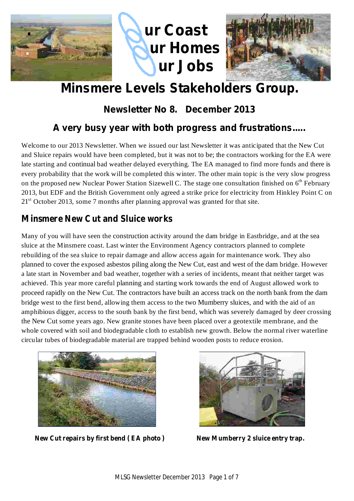

# **Minsmere Levels Stakeholders Group.**

## **Newsletter No 8. December 2013**

### **A very busy year with both progress and frustrations.....**

Welcome to our 2013 Newsletter. When we issued our last Newsletter it was anticipated that the New Cut and Sluice repairs would have been completed, but it was not to be; the contractors working for the EA were late starting and continual bad weather delayed everything. The EA managed to find more funds and there is every probability that the work will be completed this winter. The other main topic is the very slow progress on the proposed new Nuclear Power Station Sizewell C. The stage one consultation finished on 6<sup>th</sup> February 2013, but EDF and the British Government only agreed a strike price for electricity from Hinkley Point C on  $21<sup>st</sup>$  October 2013, some 7 months after planning approval was granted for that site.

#### **Minsmere New Cut and Sluice works**

Many of you will have seen the construction activity around the dam bridge in Eastbridge, and at the sea sluice at the Minsmere coast. Last winter the Environment Agency contractors planned to complete rebuilding of the sea sluice to repair damage and allow access again for maintenance work. They also planned to cover the exposed asbestos piling along the New Cut, east and west of the dam bridge. However a late start in November and bad weather, together with a series of incidents, meant that neither target was achieved. This year more careful planning and starting work towards the end of August allowed work to proceed rapidly on the New Cut. The contractors have built an access track on the north bank from the dam bridge west to the first bend, allowing them access to the two Mumberry sluices, and with the aid of an amphibious digger, access to the south bank by the first bend, which was severely damaged by deer crossing the New Cut some years ago. New granite stones have been placed over a geotextile membrane, and the whole covered with soil and biodegradable cloth to establish new growth. Below the normal river waterline circular tubes of biodegradable material are trapped behind wooden posts to reduce erosion.



**New Cut repairs by first bend ( EA photo ) New Mumberry 2 sluice entry trap.**

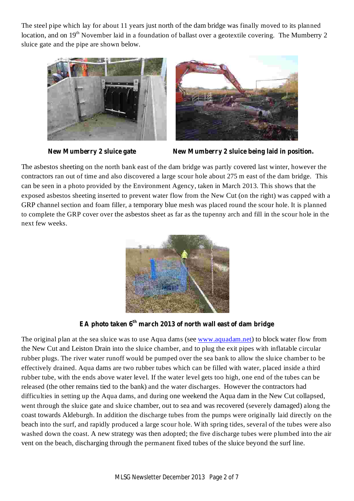The steel pipe which lay for about 11 years just north of the dam bridge was finally moved to its planned location, and on 19<sup>th</sup> November laid in a foundation of ballast over a geotextile covering. The Mumberry 2 sluice gate and the pipe are shown below.







The asbestos sheeting on the north bank east of the dam bridge was partly covered last winter, however the contractors ran out of time and also discovered a large scour hole about 275 m east of the dam bridge. This can be seen in a photo provided by the Environment Agency, taken in March 2013. This shows that the exposed asbestos sheeting inserted to prevent water flow from the New Cut (on the right) was capped with a GRP channel section and foam filler, a temporary blue mesh was placed round the scour hole. It is planned to complete the GRP cover over the asbestos sheet as far as the tupenny arch and fill in the scour hole in the next few weeks.



**EA photo taken 6 th march 2013 of north wall east of dam bridge**

The original plan at the sea sluice was to use Aqua dams (see www.aquadam.net) to block water flow from the New Cut and Leiston Drain into the sluice chamber, and to plug the exit pipes with inflatable circular rubber plugs. The river water runoff would be pumped over the sea bank to allow the sluice chamber to be effectively drained. Aqua dams are two rubber tubes which can be filled with water, placed inside a third rubber tube, with the ends above water level. If the water level gets too high, one end of the tubes can be released (the other remains tied to the bank) and the water discharges. However the contractors had difficulties in setting up the Aqua dams, and during one weekend the Aqua dam in the New Cut collapsed, went through the sluice gate and sluice chamber, out to sea and was recovered (severely damaged) along the coast towards Aldeburgh. In addition the discharge tubes from the pumps were originally laid directly on the beach into the surf, and rapidly produced a large scour hole. With spring tides, several of the tubes were also washed down the coast. A new strategy was then adopted; the five discharge tubes were plumbed into the air vent on the beach, discharging through the permanent fixed tubes of the sluice beyond the surf line.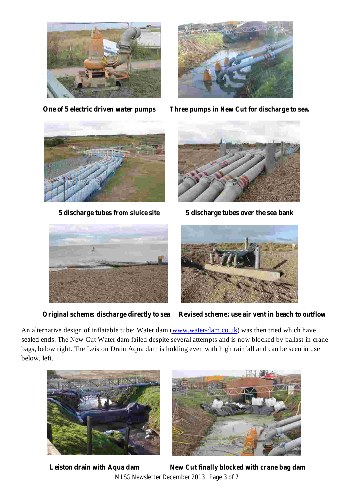



**One of 5 electric driven water pumps Three pumps in New Cut for discharge to sea.**





**5 discharge tubes from sluice site 5 discharge tubes over the sea bank**





**Original scheme: discharge directly to sea Revised scheme: use air vent in beach to outflow**

An alternative design of inflatable tube; Water dam (www.water-dam.co.uk) was then tried which have sealed ends. The New Cut Water dam failed despite several attempts and is now blocked by ballast in crane bags, below right. The Leiston Drain Aqua dam is holding even with high rainfall and can be seen in use below, left.



MLSG Newsletter December 2013 Page 3 of 7 **Leiston drain with Aqua dam New Cut finally blocked with crane bag dam**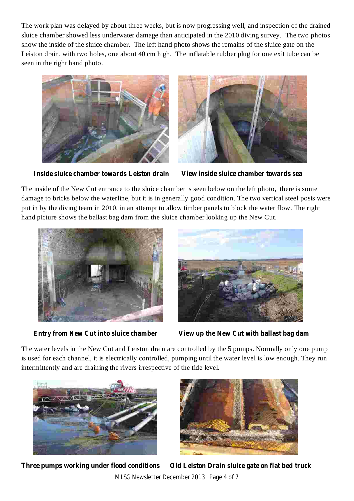The work plan was delayed by about three weeks, but is now progressing well, and inspection of the drained sluice chamber showed less underwater damage than anticipated in the 2010 diving survey. The two photos show the inside of the sluice chamber. The left hand photo shows the remains of the sluice gate on the Leiston drain, with two holes, one about 40 cm high. The inflatable rubber plug for one exit tube can be seen in the right hand photo.





**Inside sluice chamber towards Leiston drain View inside sluice chamber towards sea**

The inside of the New Cut entrance to the sluice chamber is seen below on the left photo, there is some damage to bricks below the waterline, but it is in generally good condition. The two vertical steel posts were put in by the diving team in 2010, in an attempt to allow timber panels to block the water flow. The right hand picture shows the ballast bag dam from the sluice chamber looking up the New Cut.





**Entry from New Cut into sluice chamber View up the New Cut with ballast bag dam**

The water levels in the New Cut and Leiston drain are controlled by the 5 pumps. Normally only one pump is used for each channel, it is electrically controlled, pumping until the water level is low enough. They run intermittently and are draining the rivers irrespective of the tide level.





MLSG Newsletter December 2013 Page 4 of 7 **Three pumps working under flood conditions Old Leiston Drain sluice gate on flat bed truck**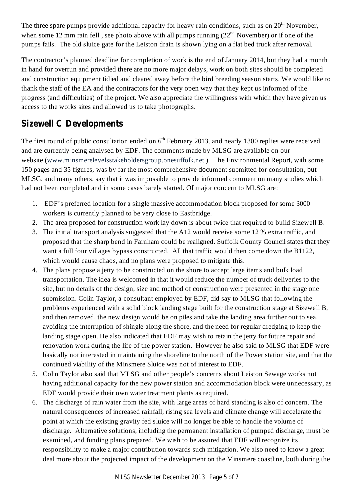The three spare pumps provide additional capacity for heavy rain conditions, such as on  $20<sup>th</sup>$  November, when some 12 mm rain fell, see photo above with all pumps running  $(22<sup>nd</sup>$  November) or if one of the pumps fails. The old sluice gate for the Leiston drain is shown lying on a flat bed truck after removal.

The contractor's planned deadline for completion of work is the end of January 2014, but they had a month in hand for overrun and provided there are no more major delays, work on both sites should be completed and construction equipment tidied and cleared away before the bird breeding season starts. We would like to thank the staff of the EA and the contractors for the very open way that they kept us informed of the progress (and difficulties) of the project. We also appreciate the willingness with which they have given us access to the works sites and allowed us to take photographs.

### **Sizewell C Developments**

The first round of public consultation ended on  $6<sup>th</sup>$  February 2013, and nearly 1300 replies were received and are currently being analysed by EDF. The comments made by MLSG are available on our website.(www.minsmerelevelsstakeholdersgroup.onesuffolk.net ) The Environmental Report, with some 150 pages and 35 figures, was by far the most comprehensive document submitted for consultation, but MLSG, and many others, say that it was impossible to provide informed comment on many studies which had not been completed and in some cases barely started. Of major concern to MLSG are:

- 1. EDF's preferred location for a single massive accommodation block proposed for some 3000 workers is currently planned to be very close to Eastbridge.
- 2. The area proposed for construction work lay down is about twice that required to build Sizewell B.
- 3. The initial transport analysis suggested that the A12 would receive some 12 % extra traffic, and proposed that the sharp bend in Farnham could be realigned. Suffolk County Council states that they want a full four villages bypass constructed. All that traffic would then come down the B1122, which would cause chaos, and no plans were proposed to mitigate this.
- 4. The plans propose a jetty to be constructed on the shore to accept large items and bulk load transportation. The idea is welcomed in that it would reduce the number of truck deliveries to the site, but no details of the design, size and method of construction were presented in the stage one submission. Colin Taylor, a consultant employed by EDF, did say to MLSG that following the problems experienced with a solid block landing stage built for the construction stage at Sizewell B, and then removed, the new design would be on piles and take the landing area further out to sea, avoiding the interruption of shingle along the shore, and the need for regular dredging to keep the landing stage open. He also indicated that EDF may wish to retain the jetty for future repair and renovation work during the life of the power station. However he also said to MLSG that EDF were basically not interested in maintaining the shoreline to the north of the Power station site, and that the continued viability of the Minsmere Sluice was not of interest to EDF.
- 5. Colin Taylor also said that MLSG and other people's concerns about Leiston Sewage works not having additional capacity for the new power station and accommodation block were unnecessary, as EDF would provide their own water treatment plants as required.
- 6. The discharge of rain water from the site, with large areas of hard standing is also of concern. The natural consequences of increased rainfall, rising sea levels and climate change will accelerate the point at which the existing gravity fed sluice will no longer be able to handle the volume of discharge. Alternative solutions, including the permanent installation of pumped discharge, must be examined, and funding plans prepared. We wish to be assured that EDF will recognize its responsibility to make a major contribution towards such mitigation. We also need to know a great deal more about the projected impact of the development on the Minsmere coastline, both during the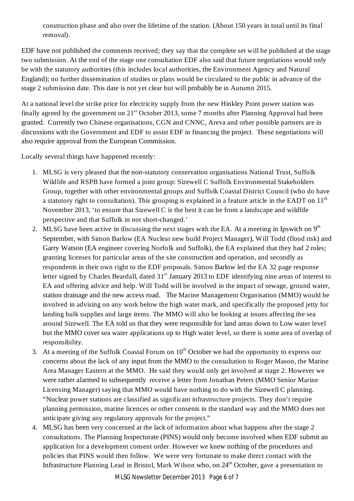construction phase and also over the lifetime of the station. (About 150 years in total until its final removal).

EDF have not published the comments received; they say that the complete set will be published at the stage two submission. At the end of the stage one consultation EDF also said that future negotiations would only be with the statutory authorities (this includes local authorities, the Environment Agency and Natural England); no further dissemination of studies or plans would be circulated to the public in advance of the stage 2 submission date. This date is not yet clear but will probably be in Autumn 2015.

At a national level the strike price for electricity supply from the new Hinkley Point power station was finally agreed by the government on  $21<sup>st</sup>$  October 2013, some 7 months after Planning Approval had been granted. Currently two Chinese organisations, CGN and CNNC, Areva and other possible partners are in discussions with the Government and EDF to assist EDF in financing the project. These negotiations will also require approval from the European Commission.

Locally several things have happened recently:

- 1. MLSG is very pleased that the non-statutory conservation organisations National Trust, Suffolk Wildlife and RSPB have formed a joint group: Sizewell C Suffolk Environmental Stakeholders Group, together with other environmental groups and Suffolk Coastal District Council (who do have a statutory right to consultation). This grouping is explained in a feature article in the EADT on  $11<sup>th</sup>$ November 2013, 'to ensure that Sizewell C is the best it can be from a landscape and wildlife perspective and that Suffolk in not short-changed.'
- 2. MLSG have been active in discussing the next stages with the EA. At a meeting in Ipswich on  $9<sup>th</sup>$ September, with Simon Barlow (EA Nuclear new build Project Manager), Will Todd (flood risk) and Garry Watson (EA engineer covering Norfolk and Suffolk), the EA explained that they had 2 roles; granting licenses for particular areas of the site construction and operation, and secondly as respondents in their own right to the EDF proposals. Simon Barlow led the EA 32 page response letter signed by Charles Beardall, dated 31<sup>st</sup> January 2013 to EDF identifying nine areas of interest to EA and offering advice and help. Will Todd will be involved in the impact of sewage, ground water, station drainage and the new access road. The Marine Management Organisation (MMO) would be involved in advising on any work below the high water mark, and specifically the proposed jetty for landing bulk supplies and large items. The MMO will also be looking at issues affecting the sea around Sizewell. The EA told us that they were responsible for land areas down to Low water level but the MMO cover sea water applications up to High water level, so there is some area of overlap of responsibility.
- 3. At a meeting of the Suffolk Coastal Forum on  $10^{th}$  October we had the opportunity to express our concerns about the lack of any input from the MMO to the consultation to Roger Mason, the Marine Area Manager Eastern at the MMO. He said they would only get involved at stage 2. However we were rather alarmed to subsequently receive a letter from Jonathan Peters (MMO Senior Marine Licensing Manager) saying that MMO would have nothing to do with the Sizewell C planning. "Nuclear power stations are classified as significant infrastructure projects. They don't require planning permission, marine licences or other consents in the standard way and the MMO does not anticipate giving any regulatory approvals for the project."
- 4. MLSG has been very concerned at the lack of information about what happens after the stage 2 consultations. The Planning Inspectorate (PINS) would only become involved when EDF submit an application for a development consent order. However we knew nothing of the procedures and policies that PINS would then follow. We were very fortunate to make direct contact with the Infrastructure Planning Lead in Bristol, Mark Wilson who, on 24<sup>th</sup> October, gave a presentation to